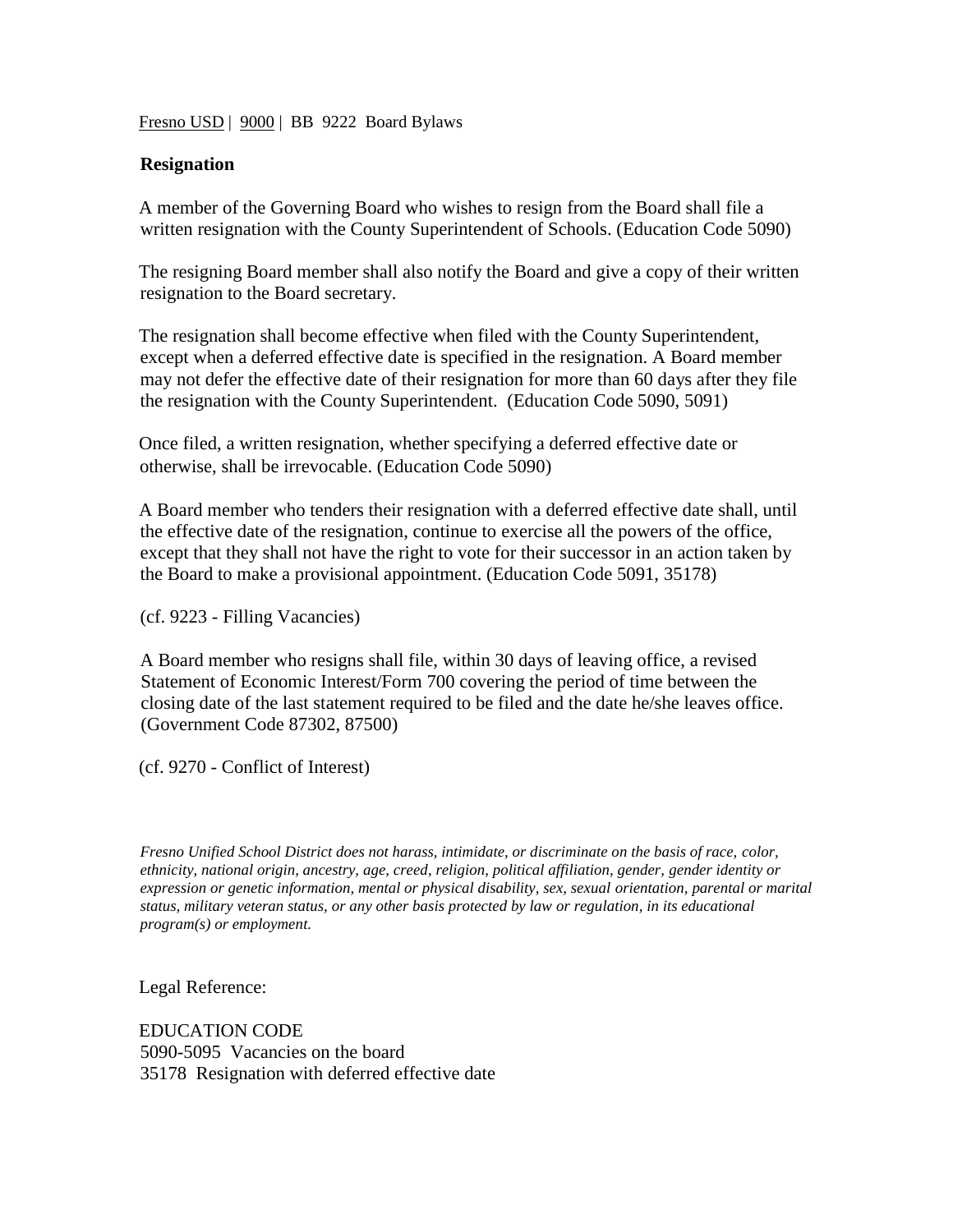Fresno USD | 9000 | BB 9222 Board Bylaws

## **Resignation**

A member of the Governing Board who wishes to resign from the Board shall file a written resignation with the County Superintendent of Schools. (Education Code 5090)

The resigning Board member shall also notify the Board and give a copy of their written resignation to the Board secretary.

The resignation shall become effective when filed with the County Superintendent, except when a deferred effective date is specified in the resignation. A Board member may not defer the effective date of their resignation for more than 60 days after they file the resignation with the County Superintendent. (Education Code 5090, 5091)

Once filed, a written resignation, whether specifying a deferred effective date or otherwise, shall be irrevocable. (Education Code 5090)

A Board member who tenders their resignation with a deferred effective date shall, until the effective date of the resignation, continue to exercise all the powers of the office, except that they shall not have the right to vote for their successor in an action taken by the Board to make a provisional appointment. (Education Code 5091, 35178)

(cf. 9223 - Filling Vacancies)

A Board member who resigns shall file, within 30 days of leaving office, a revised Statement of Economic Interest/Form 700 covering the period of time between the closing date of the last statement required to be filed and the date he/she leaves office. (Government Code 87302, 87500)

(cf. 9270 - Conflict of Interest)

*Fresno Unified School District does not harass, intimidate, or discriminate on the basis of race, color, ethnicity, national origin, ancestry, age, creed, religion, political affiliation, gender, gender identity or expression or genetic information, mental or physical disability, sex, sexual orientation, parental or marital status, military veteran status, or any other basis protected by law or regulation, in its educational program(s) or employment.*

Legal Reference:

EDUCATION CODE 5090-5095 Vacancies on the board 35178 Resignation with deferred effective date